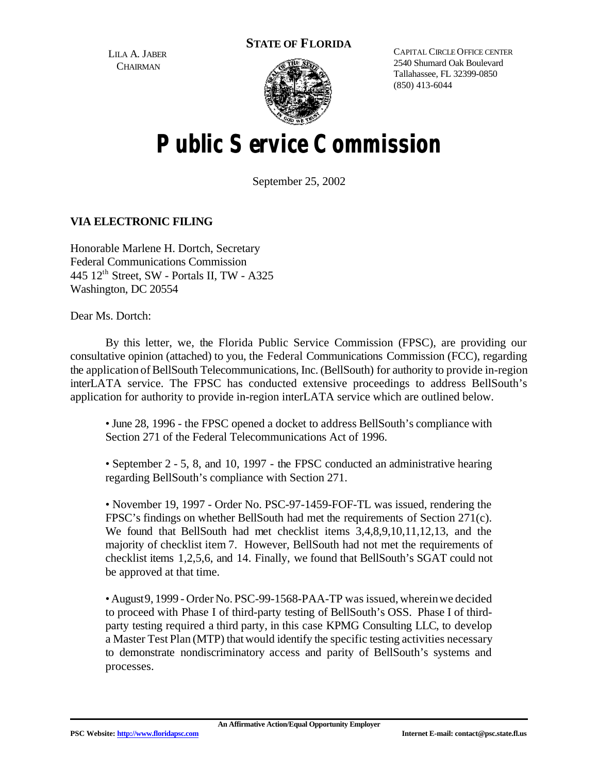**STATE OF FLORIDA**

LILA A. JABER **CHAIRMAN** 



CAPITAL CIRCLE OFFICE CENTER 2540 Shumard Oak Boulevard Tallahassee, FL 32399-0850 (850) 413-6044

## **Public Service Commission**

September 25, 2002

## **VIA ELECTRONIC FILING**

Honorable Marlene H. Dortch, Secretary Federal Communications Commission 445 12th Street, SW - Portals II, TW - A325 Washington, DC 20554

Dear Ms. Dortch:

By this letter, we, the Florida Public Service Commission (FPSC), are providing our consultative opinion (attached) to you, the Federal Communications Commission (FCC), regarding the application of BellSouth Telecommunications, Inc. (BellSouth) for authority to provide in-region interLATA service. The FPSC has conducted extensive proceedings to address BellSouth's application for authority to provide in-region interLATA service which are outlined below.

• June 28, 1996 - the FPSC opened a docket to address BellSouth's compliance with Section 271 of the Federal Telecommunications Act of 1996.

• September 2 - 5, 8, and 10, 1997 - the FPSC conducted an administrative hearing regarding BellSouth's compliance with Section 271.

• November 19, 1997 - Order No. PSC-97-1459-FOF-TL was issued, rendering the FPSC's findings on whether BellSouth had met the requirements of Section 271(c). We found that BellSouth had met checklist items 3,4,8,9,10,11,12,13, and the majority of checklist item 7. However, BellSouth had not met the requirements of checklist items 1,2,5,6, and 14. Finally, we found that BellSouth's SGAT could not be approved at that time.

• August9, 1999 - Order No. PSC-99-1568-PAA-TP was issued, whereinwe decided to proceed with Phase I of third-party testing of BellSouth's OSS. Phase I of thirdparty testing required a third party, in this case KPMG Consulting LLC, to develop a Master Test Plan (MTP) thatwould identify the specific testing activities necessary to demonstrate nondiscriminatory access and parity of BellSouth's systems and processes.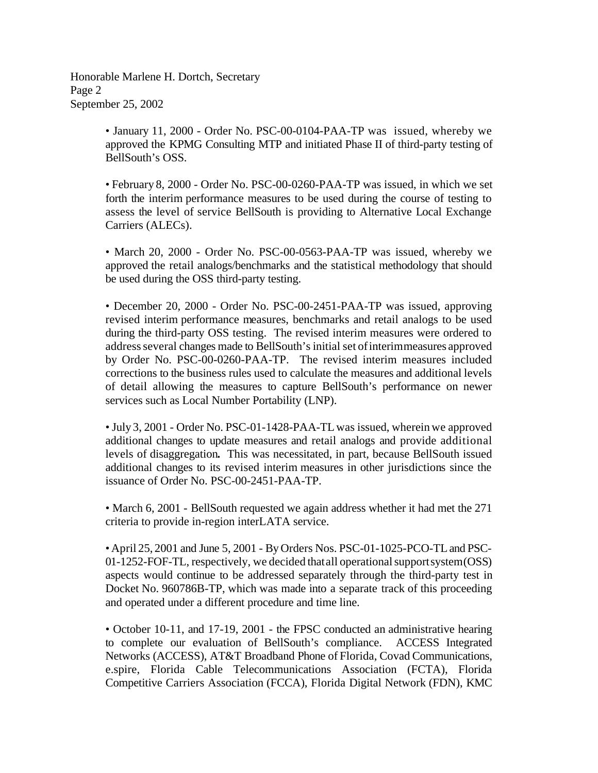Honorable Marlene H. Dortch, Secretary Page 2 September 25, 2002

> • January 11, 2000 - Order No. PSC-00-0104-PAA-TP was issued, whereby we approved the KPMG Consulting MTP and initiated Phase II of third-party testing of BellSouth's OSS.

> • February 8, 2000 - Order No. PSC-00-0260-PAA-TP was issued, in which we set forth the interim performance measures to be used during the course of testing to assess the level of service BellSouth is providing to Alternative Local Exchange Carriers (ALECs).

> • March 20, 2000 - Order No. PSC-00-0563-PAA-TP was issued, whereby we approved the retail analogs/benchmarks and the statistical methodology that should be used during the OSS third-party testing.

> • December 20, 2000 - Order No. PSC-00-2451-PAA-TP was issued, approving revised interim performance measures, benchmarks and retail analogs to be used during the third-party OSS testing. The revised interim measures were ordered to address several changes made to BellSouth's initial set of interimmeasures approved by Order No. PSC-00-0260-PAA-TP. The revised interim measures included corrections to the business rules used to calculate the measures and additional levels of detail allowing the measures to capture BellSouth's performance on newer services such as Local Number Portability (LNP).

> • July 3, 2001 - Order No. PSC-01-1428-PAA-TL was issued, wherein we approved additional changes to update measures and retail analogs and provide additional levels of disaggregation**.** This was necessitated, in part, because BellSouth issued additional changes to its revised interim measures in other jurisdictions since the issuance of Order No. PSC-00-2451-PAA-TP.

> • March 6, 2001 - BellSouth requested we again address whether it had met the 271 criteria to provide in-region interLATA service.

> • April 25, 2001 and June 5, 2001 - ByOrders Nos. PSC-01-1025-PCO-TLand PSC- $01-1252$ -FOF-TL, respectively, we decided that all operational supportsystem $(OSS)$ aspects would continue to be addressed separately through the third-party test in Docket No. 960786B-TP, which was made into a separate track of this proceeding and operated under a different procedure and time line.

> • October 10-11, and 17-19, 2001 - the FPSC conducted an administrative hearing to complete our evaluation of BellSouth's compliance. ACCESS Integrated Networks (ACCESS), AT&T Broadband Phone of Florida, Covad Communications, e.spire, Florida Cable Telecommunications Association (FCTA), Florida Competitive Carriers Association (FCCA), Florida Digital Network (FDN), KMC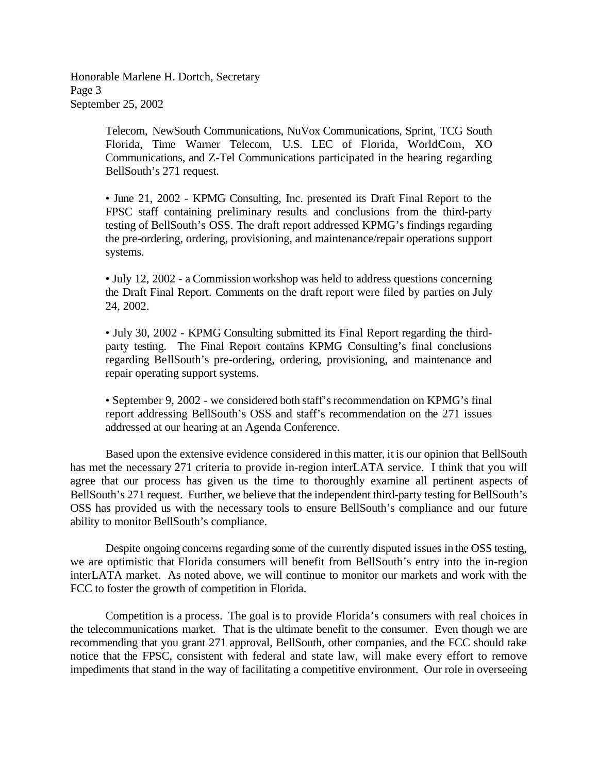Honorable Marlene H. Dortch, Secretary Page 3 September 25, 2002

> Telecom, NewSouth Communications, NuVox Communications, Sprint, TCG South Florida, Time Warner Telecom, U.S. LEC of Florida, WorldCom, XO Communications, and Z-Tel Communications participated in the hearing regarding BellSouth's 271 request.

> • June 21, 2002 - KPMG Consulting, Inc. presented its Draft Final Report to the FPSC staff containing preliminary results and conclusions from the third-party testing of BellSouth's OSS. The draft report addressed KPMG's findings regarding the pre-ordering, ordering, provisioning, and maintenance/repair operations support systems.

> • July 12, 2002 - a Commissionworkshop was held to address questions concerning the Draft Final Report. Comments on the draft report were filed by parties on July 24, 2002.

> • July 30, 2002 - KPMG Consulting submitted its Final Report regarding the thirdparty testing. The Final Report contains KPMG Consulting's final conclusions regarding BellSouth's pre-ordering, ordering, provisioning, and maintenance and repair operating support systems.

> • September 9, 2002 - we considered both staff's recommendation on KPMG's final report addressing BellSouth's OSS and staff's recommendation on the 271 issues addressed at our hearing at an Agenda Conference.

Based upon the extensive evidence considered in this matter, it is our opinion that BellSouth has met the necessary 271 criteria to provide in-region interLATA service. I think that you will agree that our process has given us the time to thoroughly examine all pertinent aspects of BellSouth's 271 request. Further, we believe that the independent third-party testing for BellSouth's OSS has provided us with the necessary tools to ensure BellSouth's compliance and our future ability to monitor BellSouth's compliance.

Despite ongoing concerns regarding some of the currently disputed issues in the OSS testing, we are optimistic that Florida consumers will benefit from BellSouth's entry into the in-region interLATA market. As noted above, we will continue to monitor our markets and work with the FCC to foster the growth of competition in Florida.

Competition is a process. The goal is to provide Florida's consumers with real choices in the telecommunications market. That is the ultimate benefit to the consumer. Even though we are recommending that you grant 271 approval, BellSouth, other companies, and the FCC should take notice that the FPSC, consistent with federal and state law, will make every effort to remove impediments that stand in the way of facilitating a competitive environment. Our role in overseeing